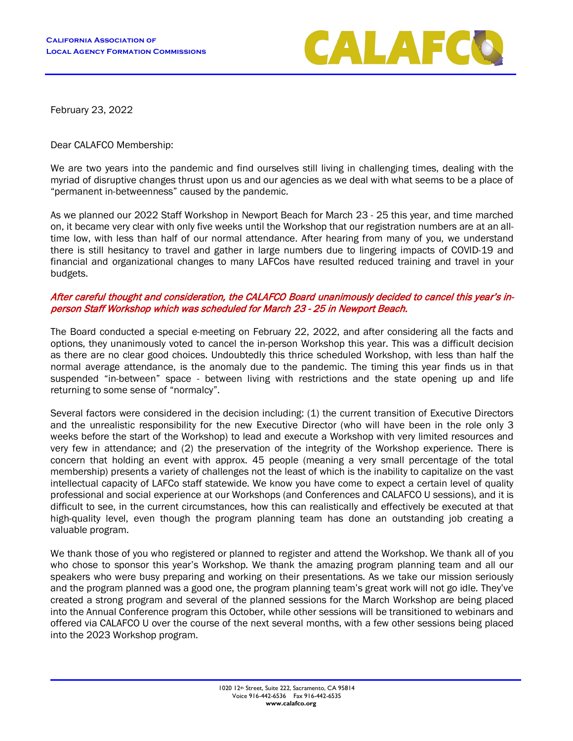

February 23, 2022

Dear CALAFCO Membership:

We are two years into the pandemic and find ourselves still living in challenging times, dealing with the myriad of disruptive changes thrust upon us and our agencies as we deal with what seems to be a place of "permanent in-betweenness" caused by the pandemic.

As we planned our 2022 Staff Workshop in Newport Beach for March 23 - 25 this year, and time marched on, it became very clear with only five weeks until the Workshop that our registration numbers are at an alltime low, with less than half of our normal attendance. After hearing from many of you, we understand there is still hesitancy to travel and gather in large numbers due to lingering impacts of COVID-19 and financial and organizational changes to many LAFCos have resulted reduced training and travel in your budgets.

## After careful thought and consideration, the CALAFCO Board unanimously decided to cancel this year's inperson Staff Workshop which was scheduled for March 23 - 25 in Newport Beach.

The Board conducted a special e-meeting on February 22, 2022, and after considering all the facts and options, they unanimously voted to cancel the in-person Workshop this year. This was a difficult decision as there are no clear good choices. Undoubtedly this thrice scheduled Workshop, with less than half the normal average attendance, is the anomaly due to the pandemic. The timing this year finds us in that suspended "in-between" space - between living with restrictions and the state opening up and life returning to some sense of "normalcy".

Several factors were considered in the decision including: (1) the current transition of Executive Directors and the unrealistic responsibility for the new Executive Director (who will have been in the role only 3 weeks before the start of the Workshop) to lead and execute a Workshop with very limited resources and very few in attendance; and (2) the preservation of the integrity of the Workshop experience. There is concern that holding an event with approx. 45 people (meaning a very small percentage of the total membership) presents a variety of challenges not the least of which is the inability to capitalize on the vast intellectual capacity of LAFCo staff statewide. We know you have come to expect a certain level of quality professional and social experience at our Workshops (and Conferences and CALAFCO U sessions), and it is difficult to see, in the current circumstances, how this can realistically and effectively be executed at that high-quality level, even though the program planning team has done an outstanding job creating a valuable program.

We thank those of you who registered or planned to register and attend the Workshop. We thank all of you who chose to sponsor this year's Workshop. We thank the amazing program planning team and all our speakers who were busy preparing and working on their presentations. As we take our mission seriously and the program planned was a good one, the program planning team's great work will not go idle. They've created a strong program and several of the planned sessions for the March Workshop are being placed into the Annual Conference program this October, while other sessions will be transitioned to webinars and offered via CALAFCO U over the course of the next several months, with a few other sessions being placed into the 2023 Workshop program.